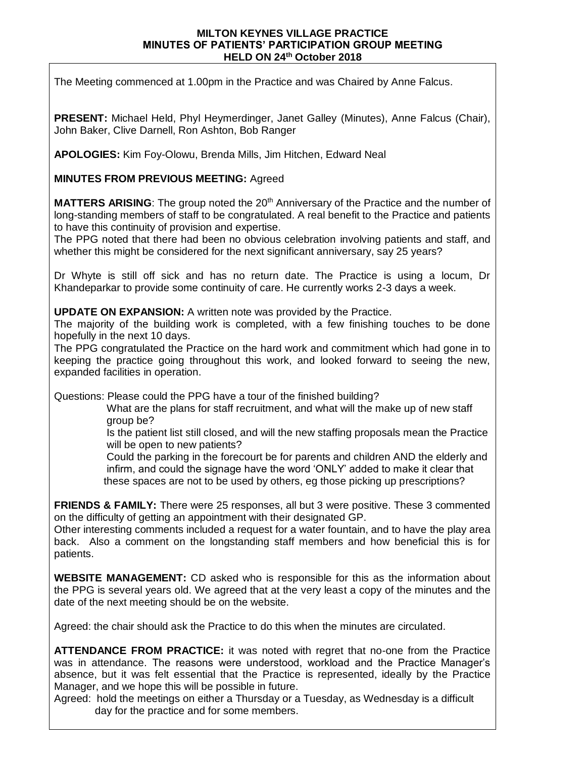## **MILTON KEYNES VILLAGE PRACTICE MINUTES OF PATIENTS' PARTICIPATION GROUP MEETING HELD ON 24 th October 2018**

The Meeting commenced at 1.00pm in the Practice and was Chaired by Anne Falcus.

**PRESENT:** Michael Held, Phyl Heymerdinger, Janet Galley (Minutes), Anne Falcus (Chair), John Baker, Clive Darnell, Ron Ashton, Bob Ranger

**APOLOGIES:** Kim Foy-Olowu, Brenda Mills, Jim Hitchen, Edward Neal

## **MINUTES FROM PREVIOUS MEETING:** Agreed

**MATTERS ARISING**: The group noted the 20<sup>th</sup> Anniversary of the Practice and the number of long-standing members of staff to be congratulated. A real benefit to the Practice and patients to have this continuity of provision and expertise.

The PPG noted that there had been no obvious celebration involving patients and staff, and whether this might be considered for the next significant anniversary, say 25 years?

Dr Whyte is still off sick and has no return date. The Practice is using a locum, Dr Khandeparkar to provide some continuity of care. He currently works 2-3 days a week.

**UPDATE ON EXPANSION:** A written note was provided by the Practice.

The majority of the building work is completed, with a few finishing touches to be done hopefully in the next 10 days.

The PPG congratulated the Practice on the hard work and commitment which had gone in to keeping the practice going throughout this work, and looked forward to seeing the new, expanded facilities in operation.

Questions: Please could the PPG have a tour of the finished building?

 What are the plans for staff recruitment, and what will the make up of new staff group be?

 Is the patient list still closed, and will the new staffing proposals mean the Practice will be open to new patients?

 Could the parking in the forecourt be for parents and children AND the elderly and infirm, and could the signage have the word 'ONLY' added to make it clear that these spaces are not to be used by others, eg those picking up prescriptions?

**FRIENDS & FAMILY:** There were 25 responses, all but 3 were positive. These 3 commented on the difficulty of getting an appointment with their designated GP.

Other interesting comments included a request for a water fountain, and to have the play area back. Also a comment on the longstanding staff members and how beneficial this is for patients.

**WEBSITE MANAGEMENT:** CD asked who is responsible for this as the information about the PPG is several years old. We agreed that at the very least a copy of the minutes and the date of the next meeting should be on the website.

Agreed: the chair should ask the Practice to do this when the minutes are circulated.

**ATTENDANCE FROM PRACTICE:** it was noted with regret that no-one from the Practice was in attendance. The reasons were understood, workload and the Practice Manager's absence, but it was felt essential that the Practice is represented, ideally by the Practice Manager, and we hope this will be possible in future.

Agreed: hold the meetings on either a Thursday or a Tuesday, as Wednesday is a difficult day for the practice and for some members.